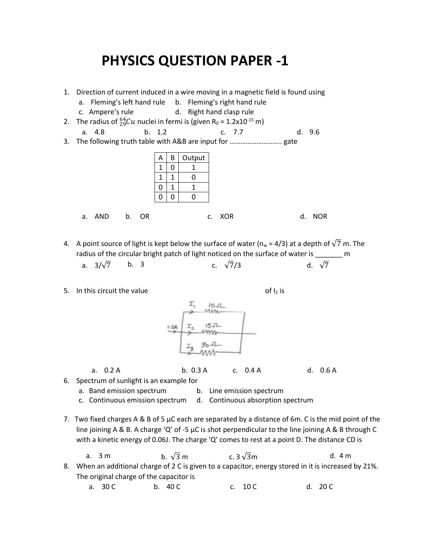## **PHYSICS QUESTION PAPER -1**

- 1. Direction of current induced in a wire moving in a magnetic field is found using a. Fleming's left hand rule b. Fleming's right hand rule c. Ampere's rule d. Right hand clasp rule 2. The radius of  ${}^{64}_{29}Cu$  nuclei in fermi is (given R<sub>0</sub> = 1.2x10<sup>-15</sup> m) a. 4.8 b. 1.2 c. 7.7 d. 9.6 3. The following truth table with A&B are input for ……………………….. gate  $A \mid B \mid$  Output  $1 \mid 0 \mid 1$  $1 \mid 1 \mid 0$  $0 \mid 1 \mid 1$  $0 0 0$ a. AND b. OR c. XOR d. NOR
- 4. A point source of light is kept below the surface of water ( $n_w = 4/3$ ) at a depth of  $\sqrt{7}$  m. The radius of the circular bright patch of light noticed on the surface of water is \_\_\_\_\_\_\_ m a.  $3/\sqrt{7}$  b. 3 c.  $\sqrt{7}/3$  d.  $\sqrt{7}$
- 5. In this circuit the value  $\sigma f|_2$  is

 $10-2$ Ww  $151$ mm

a. 0.2 A b. 0.3 A c. 0.4 A d. 0.6 A

6. Spectrum of sunlight is an example for

a. Band emission spectrum b. Line emission spectrum

- c. Continuous emission spectrum d. Continuous absorption spectrum
- 7. Two fixed charges A & B of 5  $\mu$ C each are separated by a distance of 6m. C is the mid point of the line joining A & B. A charge 'Q' of -5 µC is shot perpendicular to the line joining A & B through C with a kinetic energy of 0.06J. The charge 'Q' comes to rest at a point D. The distance CD is

a. 3 m  
b. 
$$
\sqrt{3}
$$
 m  
c.  $3\sqrt{3}$  m  
d. 4 m  
8. When an additional charge of 2 C is given to a capacitor, energy stored in it is increased by 21%.  
The original charge of the capacitor is

a. 30 C b. 40 C c. 10 C c. 10 C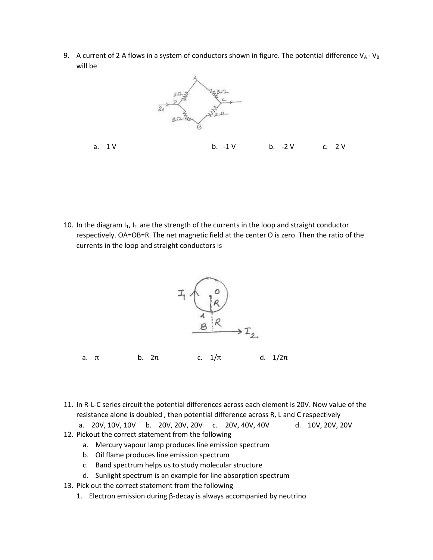9. A current of 2 A flows in a system of conductors shown in figure. The potential difference  $V_A$ - $V_B$ will be



a. 1 V b. -1 V b. -2 V c. 2 V

10. In the diagram  $I_1$ ,  $I_2$  are the strength of the currents in the loop and straight conductor respectively. OA=OB=R. The net magnetic field at the center O is zero. Then the ratio of the currents in the loop and straight conductors is



11. In R-L-C series circuit the potential differences across each element is 20V. Now value of the resistance alone is doubled , then potential difference across R, L and C respectively

a. 20V, 10V, 10V b. 20V, 20V, 20V c. 20V, 40V, 40V d. 10V, 20V, 20V

- 12. Pickout the correct statement from the following
	- a. Mercury vapour lamp produces line emission spectrum
	- b. Oil flame produces line emission spectrum
	- c. Band spectrum helps us to study molecular structure
	- d. Sunlight spectrum is an example for line absorption spectrum
- 13. Pick out the correct statement from the following
	- 1. Electron emission during β-decay is always accompanied by neutrino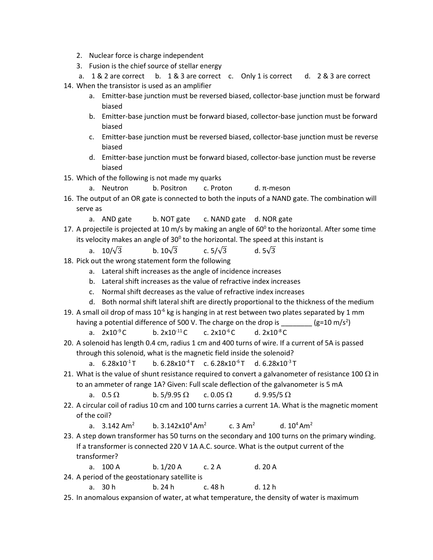- 2. Nuclear force is charge independent
- 3. Fusion is the chief source of stellar energy

a. 1 & 2 are correct b. 1 & 3 are correct c. Only 1 is correct d. 2 & 3 are correct 14. When the transistor is used as an amplifier

- a. Emitter-base junction must be reversed biased, collector-base junction must be forward biased
- b. Emitter-base junction must be forward biased, collector-base junction must be forward biased
- c. Emitter-base junction must be reversed biased, collector-base junction must be reverse biased
- d. Emitter-base junction must be forward biased, collector-base junction must be reverse biased
- 15. Which of the following is not made my quarks
	- a. Neutron b. Positron c. Proton d. π-meson
- 16. The output of an OR gate is connected to both the inputs of a NAND gate. The combination will serve as
	- a. AND gate b. NOT gate c. NAND gate d. NOR gate
- 17. A projectile is projected at 10 m/s by making an angle of 60<sup>0</sup> to the horizontal. After some time its velocity makes an angle of 30<sup>0</sup> to the horizontal. The speed at this instant is
	- a. 10/ $\sqrt{3}$  b. 10 $\sqrt{3}$  c. 5/ $\sqrt{3}$  d. 5 $\sqrt{3}$
- 18. Pick out the wrong statement form the following
	- a. Lateral shift increases as the angle of incidence increases
	- b. Lateral shift increases as the value of refractive index increases
	- c. Normal shift decreases as the value of refractive index increases
	- d. Both normal shift lateral shift are directly proportional to the thickness of the medium
- 19. A small oil drop of mass  $10^{-6}$  kg is hanging in at rest between two plates separated by 1 mm having a potential difference of 500 V. The charge on the drop is (g=10 m/s<sup>2</sup>)
	- a.  $2x10^{-9}$ C b.  $2x10^{-11}$ C c.  $2x10^{-6}$ C d.  $2x10^{-8}$ C
- 20. A solenoid has length 0.4 cm, radius 1 cm and 400 turns of wire. If a current of 5A is passed through this solenoid, what is the magnetic field inside the solenoid?
	- a.  $6.28 \times 10^{-1}$  T b.  $6.28 \times 10^{-4}$  T c.  $6.28 \times 10^{-6}$  T d.  $6.28 \times 10^{-3}$  T
- 21. What is the value of shunt resistance required to convert a galvanometer of resistance 100  $\Omega$  in to an ammeter of range 1A? Given: Full scale deflection of the galvanometer is 5 mA

a. 0.5  $\Omega$  b. 5/9.95  $\Omega$  c. 0.05  $\Omega$  d. 9.95/5  $\Omega$ 

- 22. A circular coil of radius 10 cm and 100 turns carries a current 1A. What is the magnetic moment of the coil?
	- a.  $3.142 \text{ Am}^2$  b.  $3.142 \text{x} 10^4 \text{ Am}^2$ c. 3 Am<sup>2</sup> d.  $10^4$  Am<sup>2</sup>
- 23. A step down transformer has 50 turns on the secondary and 100 turns on the primary winding. If a transformer is connected 220 V 1A A.C. source. What is the output current of the transformer?
	- a. 100 A b. 1/20 A c. 2 A d. 20 A

24. A period of the geostationary satellite is

- a. 30 h b. 24 h c. 48 h d. 12 h
- 25. In anomalous expansion of water, at what temperature, the density of water is maximum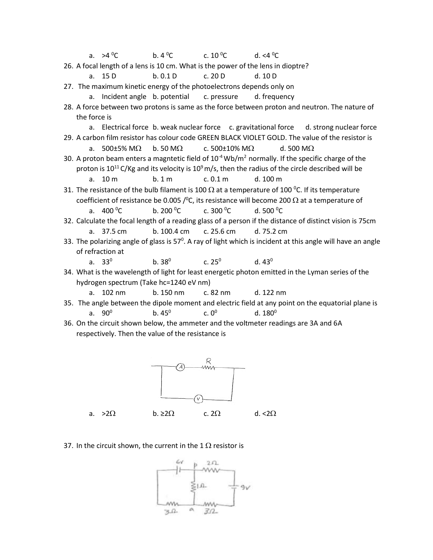| a. $>4\,^0C$                                                                                                        | b. $4^{\circ}$ C | c. 10 $^{\circ}$ C                          | d. $<$ 4 $^0$ C                                                                          |  |  |  |
|---------------------------------------------------------------------------------------------------------------------|------------------|---------------------------------------------|------------------------------------------------------------------------------------------|--|--|--|
| 26. A focal length of a lens is 10 cm. What is the power of the lens in dioptre?                                    |                  |                                             |                                                                                          |  |  |  |
| a. 15 D                                                                                                             | b.0.1D           | c. 20 D                                     | d. 10 D                                                                                  |  |  |  |
| 27. The maximum kinetic energy of the photoelectrons depends only on                                                |                  |                                             |                                                                                          |  |  |  |
| a. Incident angle b. potential c. pressure d. frequency                                                             |                  |                                             |                                                                                          |  |  |  |
| 28. A force between two protons is same as the force between proton and neutron. The nature of                      |                  |                                             |                                                                                          |  |  |  |
| the force is                                                                                                        |                  |                                             |                                                                                          |  |  |  |
|                                                                                                                     |                  |                                             | a. Electrical force b. weak nuclear force c. gravitational force d. strong nuclear force |  |  |  |
| 29. A carbon film resistor has colour code GREEN BLACK VIOLET GOLD. The value of the resistor is                    |                  |                                             |                                                                                          |  |  |  |
| a. 500±5% M $\Omega$                                                                                                |                  | b. 50 M $\Omega$ c. 500±10% M $\Omega$      | d. 500 M $\Omega$                                                                        |  |  |  |
| 30. A proton beam enters a magntetic field of $10^{-4}$ Wb/m <sup>2</sup> normally. If the specific charge of the   |                  |                                             |                                                                                          |  |  |  |
| proton is $10^{11}$ C/Kg and its velocity is $10^9$ m/s, then the radius of the circle described will be            |                  |                                             |                                                                                          |  |  |  |
| a. $10 \text{ m}$                                                                                                   | b.1 <sub>m</sub> | c. 0.1 m                                    | d. 100 m                                                                                 |  |  |  |
| 31. The resistance of the bulb filament is 100 $\Omega$ at a temperature of 100 °C. If its temperature              |                  |                                             |                                                                                          |  |  |  |
| coefficient of resistance be 0.005 / $\degree$ C, its resistance will become 200 $\Omega$ at a temperature of       |                  |                                             |                                                                                          |  |  |  |
| a. $400^{\circ}$ C                                                                                                  |                  | b. 200 <sup>o</sup> C c. 300 <sup>o</sup> C | d. 500 $^{\circ}$ C                                                                      |  |  |  |
| 32. Calculate the focal length of a reading glass of a person if the distance of distinct vision is 75cm            |                  |                                             |                                                                                          |  |  |  |
| a. 37.5 cm                                                                                                          | b. 100.4 cm      | c. 25.6 cm                                  | d. 75.2 cm                                                                               |  |  |  |
| 33. The polarizing angle of glass is $57^\circ$ . A ray of light which is incident at this angle will have an angle |                  |                                             |                                                                                          |  |  |  |
| of refraction at                                                                                                    |                  |                                             |                                                                                          |  |  |  |
| a. $33^0$                                                                                                           |                  | b. $38^0$ c. $25^0$ d. $43^0$               |                                                                                          |  |  |  |
| 34. What is the wavelength of light for least energetic photon emitted in the Lyman series of the                   |                  |                                             |                                                                                          |  |  |  |
| hydrogen spectrum (Take hc=1240 eV nm)                                                                              |                  |                                             |                                                                                          |  |  |  |
| a. 102 nm                                                                                                           | b. 150 nm        | c. 82 nm                                    | d. 122 nm                                                                                |  |  |  |
| 35. The angle between the dipole moment and electric field at any point on the equatorial plane is                  |                  |                                             |                                                                                          |  |  |  |
| a. $90^{\circ}$                                                                                                     | $b.45^{\circ}$   | $c. 0^0$                                    | d. $180^0$                                                                               |  |  |  |

36. On the circuit shown below, the ammeter and the voltmeter readings are 3A and 6A respectively. Then the value of the resistance is



37. In the circuit shown, the current in the 1  $\Omega$  resistor is

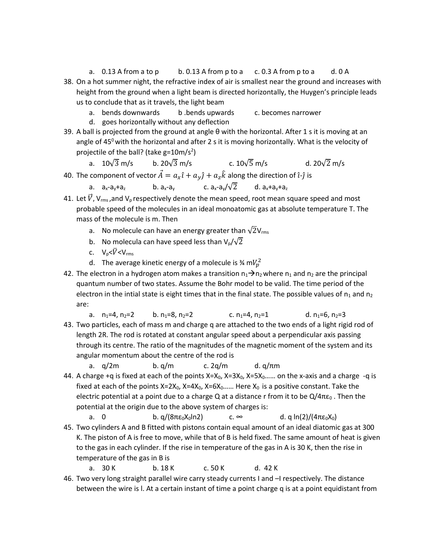- a. 0.13 A from a to p b. 0.13 A from p to a c. 0.3 A from p to a d. 0 A 38. On a hot summer night, the refractive index of air is smallest near the ground and increases with height from the ground when a light beam is directed horizontally, the Huygen's principle leads us to conclude that as it travels, the light beam
	- a. bends downwards b .bends upwards c. becomes narrower
	- d. goes horizontally without any deflection
- 39. A ball is projected from the ground at angle θ with the horizontal. After 1 s it is moving at an angle of 45 $\degree$  with the horizontal and after 2 s it is moving horizontally. What is the velocity of projectile of the ball? (take  $g = 10$ m/s<sup>2</sup>)

a.  $10\sqrt{3}$  m/s b.  $20\sqrt{3}$  m/s c.  $10\sqrt{5}$  m/s d.  $20\sqrt{2}$  m/s

40. The component of vector  $\vec{A} = a_x \hat{i} + a_y \hat{j} + a_z \hat{k}$  along the direction of  $\hat{i}$ - $\hat{j}$  is

a.  $a_x-a_y+a_z$  b.  $a_x-a_y$  c.  $a_x-a_y/\sqrt{2}$  d.  $a_x+a_y+a_z$ 

- 41. Let  $\vec{V}$ , V<sub>rms</sub>, and V<sub>p</sub> respectively denote the mean speed, root mean square speed and most probable speed of the molecules in an ideal monoatomic gas at absolute temperature T. The mass of the molecule is m. Then
	- a. No molecule can have an energy greater than  $\sqrt{2}V_{\text{rms}}$
	- b. No molecula can have speed less than  $V_p/\sqrt{2}$
	- c.  $V_p < \overline{V} < V_{rms}$
	- d. The average kinetic energy of a molecule is  $\frac{3}{4}$  m $V_p^2$
- 42. The electron in a hydrogen atom makes a transition  $n_1\rightarrow n_2$  where  $n_1$  and  $n_2$  are the principal quantum number of two states. Assume the Bohr model to be valid. The time period of the electron in the intial state is eight times that in the final state. The possible values of  $n_1$  and  $n_2$ are:
- a.  $n_1=4$ ,  $n_2=2$  b.  $n_1=8$ ,  $n_2=2$  c.  $n_1=4$ ,  $n_2=1$  d.  $n_1=6$ ,  $n_2=3$ 43. Two particles, each of mass m and charge q are attached to the two ends of a light rigid rod of length 2R. The rod is rotated at constant angular speed about a perpendicular axis passing through its centre. The ratio of the magnitudes of the magnetic moment of the system and its angular momentum about the centre of the rod is

```
a. q/2m b. q/m c. 2q/m d. q/\pi m
```
44. A charge +q is fixed at each of the points  $X=X_0$ ,  $X=3X_0$ ,  $X=5X_0$ …… on the x-axis and a charge -q is fixed at each of the points  $X=2X_0$ ,  $X=4X_0$ ,  $X=6X_0$ …… Here  $X_0$  is a positive constant. Take the electric potential at a point due to a charge Q at a distance r from it to be  $Q/4\pi\epsilon_0$ . Then the potential at the origin due to the above system of charges is:

a. 0 b. q/(8πε<sub>0</sub>X<sub>0</sub>ln2) c. ∞ d. q ln(2)/(4πε<sub>0</sub>X<sub>0</sub>)

45. Two cylinders A and B fitted with pistons contain equal amount of an ideal diatomic gas at 300 K. The piston of A is free to move, while that of B is held fixed. The same amount of heat is given to the gas in each cylinder. If the rise in temperature of the gas in A is 30 K, then the rise in temperature of the gas in B is

a. 30 K b. 18 K c. 50 K d. 42 K

46. Two very long straight parallel wire carry steady currents I and -I respectively. The distance between the wire is l. At a certain instant of time a point charge q is at a point equidistant from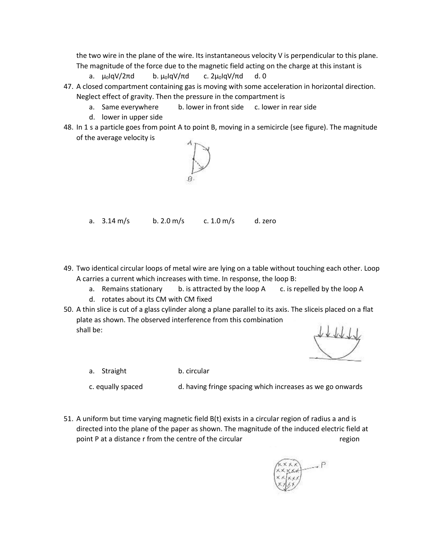the two wire in the plane of the wire. Its instantaneous velocity V is perpendicular to this plane. The magnitude of the force due to the magnetic field acting on the charge at this instant is

- a.  $\mu_0$ IqV/2πd b.  $\mu_0$ IqV/πd c. 2 $\mu_0$ IqV/πd d. 0
- 47. A closed compartment containing gas is moving with some acceleration in horizontal direction. Neglect effect of gravity. Then the pressure in the compartment is
	- a. Same everywhere b. lower in front side c. lower in rear side
	- d. lower in upper side
- 48. In 1 s a particle goes from point A to point B, moving in a semicircle (see figure). The magnitude of the average velocity is



a. 3.14 m/s b. 2.0 m/s c. 1.0 m/s d. zero

- 49. Two identical circular loops of metal wire are lying on a table without touching each other. Loop A carries a current which increases with time. In response, the loop B:
	- a. Remains stationary b. is attracted by the loop A c. is repelled by the loop A
	- d. rotates about its CM with CM fixed
- 50. A thin slice is cut of a glass cylinder along a plane parallel to its axis. The sliceis placed on a flat plate as shown. The observed interference from this combination shall be:

a. Straight b. circular

c. equally spaced d. having fringe spacing which increases as we go onwards

51. A uniform but time varying magnetic field B(t) exists in a circular region of radius a and is directed into the plane of the paper as shown. The magnitude of the induced electric field at point P at a distance r from the centre of the circular region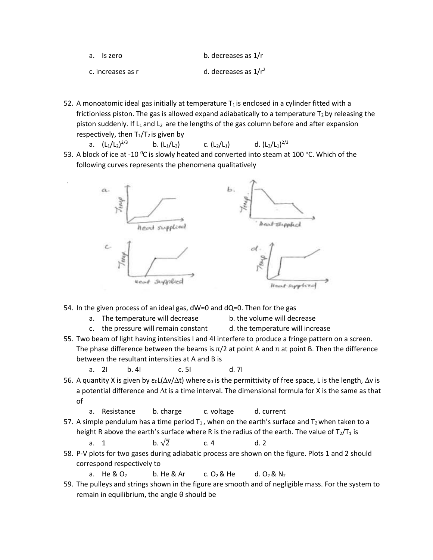| a. Is zero        | b. decreases as 1/r     |
|-------------------|-------------------------|
| c. increases as r | d. decreases as $1/r^2$ |

- 52. A monoatomic ideal gas initially at temperature  $T_1$  is enclosed in a cylinder fitted with a frictionless piston. The gas is allowed expand adiabatically to a temperature  $T_2$  by releasing the piston suddenly. If L<sub>1</sub> and L<sub>2</sub> are the lengths of the gas column before and after expansion respectively, then  $T_1/T_2$  is given by
	- a.  $(L_1/L_2)^{2/3}$ b.  $(L_1/L_2)$  c.  $(L_2/L_1)$ d.  $(L_2/L_1)^{2/3}$
- 53. A block of ice at -10  $^{\circ}$ C is slowly heated and converted into steam at 100  $^{\circ}$ C. Which of the following curves represents the phenomena qualitatively



54. In the given process of an ideal gas, dW=0 and dQ=0. Then for the gas

a. The temperature will decrease b. the volume will decrease

.

- 
- c. the pressure will remain constant d. the temperature will increase 55. Two beam of light having intensities I and 4I interfere to produce a fringe pattern on a screen.
- The phase difference between the beams is  $\pi/2$  at point A and  $\pi$  at point B. Then the difference between the resultant intensities at A and B is
	- a. 2I b. 4I c. 5I d. 7I
- 56. A quantity X is given by  $\epsilon_0 L(\Delta v/\Delta t)$  where  $\epsilon_0$  is the permittivity of free space, L is the length,  $\Delta v$  is a potential difference and  $\Delta t$  is a time interval. The dimensional formula for X is the same as that of
	- a. Resistance b. charge c. voltage d. current
- 57. A simple pendulum has a time period  $T_1$ , when on the earth's surface and  $T_2$  when taken to a height R above the earth's surface where R is the radius of the earth. The value of  $T_2/T_1$  is

a. 1 b. 
$$
\sqrt{2}
$$
 c. 4 d. 2

- 58. P-V plots for two gases during adiabatic process are shown on the figure. Plots 1 and 2 should correspond respectively to
	- a. He &  $O_2$  b. He & Ar c.  $O_2$  & He d.  $O_2$  & N<sub>2</sub>
- 59. The pulleys and strings shown in the figure are smooth and of negligible mass. For the system to remain in equilibrium, the angle θ should be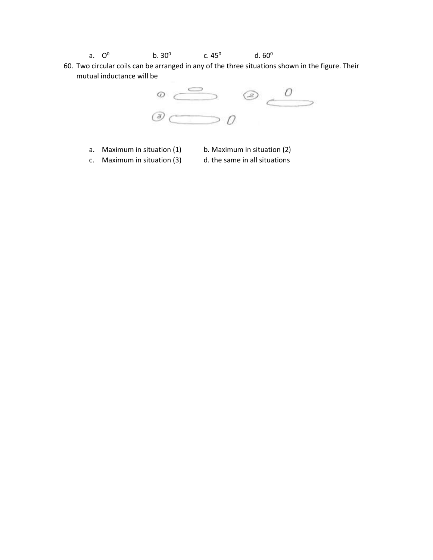- a. O  $^{\rm 0}$  b. 30 $^{\rm 0}$  c. 45 $^{\rm 0}$  d. 60 $^{\rm 0}$
- 60. Two circular coils can be arranged in any of the three situations shown in the figure. Their mutual inductance will be



- a. Maximum in situation  $(1)$  b. Maximum in situation  $(2)$ 
	-
- c. Maximum in situation (3) d. the same in all situations
	-